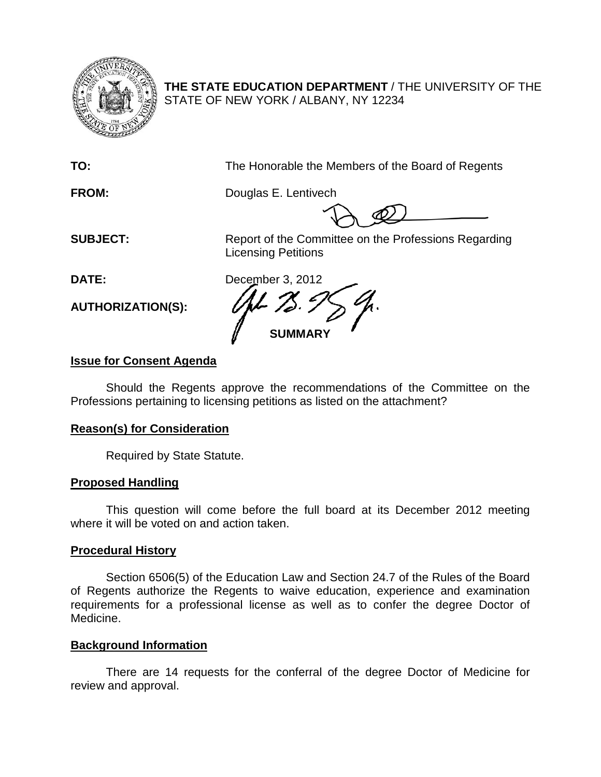

**THE STATE EDUCATION DEPARTMENT** / THE UNIVERSITY OF THE STATE OF NEW YORK / ALBANY, NY 12234

**TO:** The Honorable the Members of the Board of Regents

**FROM:** Douglas E. Lentivech

**SUBJECT:** Report of the Committee on the Professions Regarding Licensing Petitions

**AUTHORIZATION(S):**

**DATE:** December 3, 2012 **SUMMARY**

# **Issue for Consent Agenda**

Should the Regents approve the recommendations of the Committee on the Professions pertaining to licensing petitions as listed on the attachment?

# **Reason(s) for Consideration**

Required by State Statute.

# **Proposed Handling**

This question will come before the full board at its December 2012 meeting where it will be voted on and action taken.

### **Procedural History**

Section 6506(5) of the Education Law and Section 24.7 of the Rules of the Board of Regents authorize the Regents to waive education, experience and examination requirements for a professional license as well as to confer the degree Doctor of Medicine.

# **Background Information**

There are 14 requests for the conferral of the degree Doctor of Medicine for review and approval.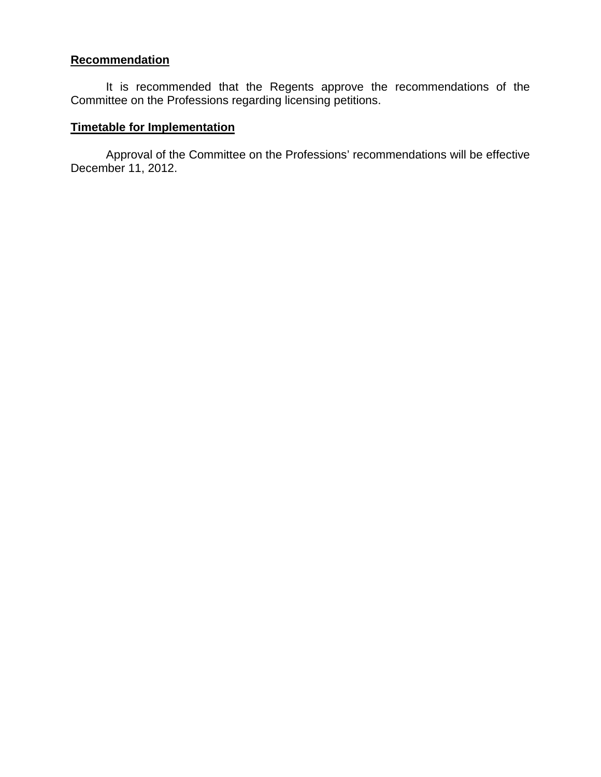#### **Recommendation**

It is recommended that the Regents approve the recommendations of the Committee on the Professions regarding licensing petitions.

#### **Timetable for Implementation**

Approval of the Committee on the Professions' recommendations will be effective December 11, 2012.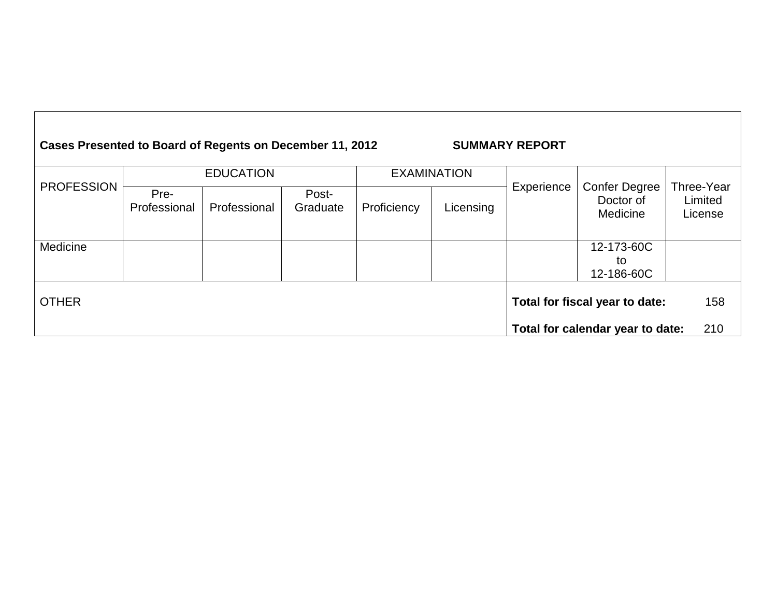| Cases Presented to Board of Regents on December 11, 2012<br><b>SUMMARY REPORT</b> |                      |              |                   |                    |           |                                |                                               |                                  |
|-----------------------------------------------------------------------------------|----------------------|--------------|-------------------|--------------------|-----------|--------------------------------|-----------------------------------------------|----------------------------------|
|                                                                                   | <b>EDUCATION</b>     |              |                   | <b>EXAMINATION</b> |           |                                |                                               |                                  |
| <b>PROFESSION</b>                                                                 | Pre-<br>Professional | Professional | Post-<br>Graduate | Proficiency        | Licensing | Experience                     | <b>Confer Degree</b><br>Doctor of<br>Medicine | Three-Year<br>Limited<br>License |
| Medicine                                                                          |                      |              |                   |                    |           |                                | 12-173-60C                                    |                                  |
|                                                                                   |                      |              |                   |                    |           |                                | to                                            |                                  |
|                                                                                   |                      |              |                   |                    |           |                                | 12-186-60C                                    |                                  |
| <b>OTHER</b>                                                                      |                      |              |                   |                    |           | Total for fiscal year to date: | 158                                           |                                  |
|                                                                                   |                      |              |                   |                    |           |                                | Total for calendar year to date:              | 210                              |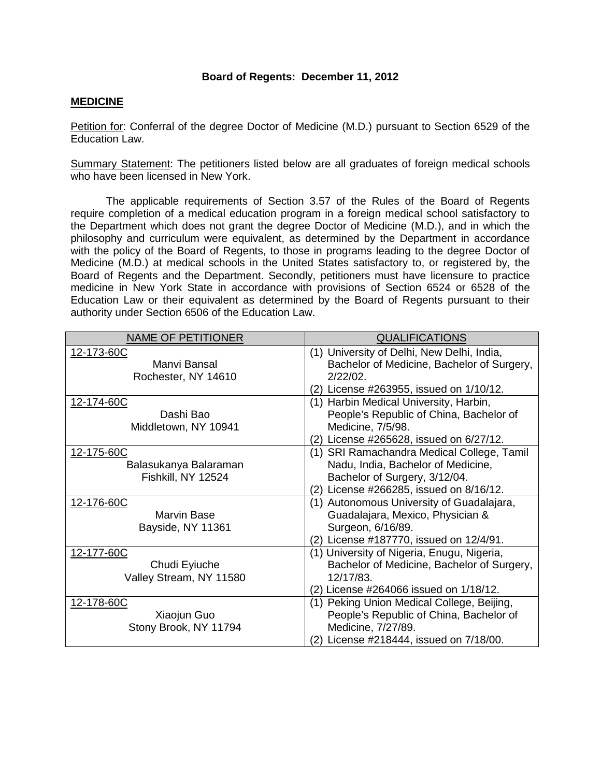#### **Board of Regents: December 11, 2012**

#### **MEDICINE**

Petition for: Conferral of the degree Doctor of Medicine (M.D.) pursuant to Section 6529 of the Education Law.

Summary Statement: The petitioners listed below are all graduates of foreign medical schools who have been licensed in New York.

The applicable requirements of Section 3.57 of the Rules of the Board of Regents require completion of a medical education program in a foreign medical school satisfactory to the Department which does not grant the degree Doctor of Medicine (M.D.), and in which the philosophy and curriculum were equivalent, as determined by the Department in accordance with the policy of the Board of Regents, to those in programs leading to the degree Doctor of Medicine (M.D.) at medical schools in the United States satisfactory to, or registered by, the Board of Regents and the Department. Secondly, petitioners must have licensure to practice medicine in New York State in accordance with provisions of Section 6524 or 6528 of the Education Law or their equivalent as determined by the Board of Regents pursuant to their authority under Section 6506 of the Education Law.

| <b>NAME OF PETITIONER</b>                                 | <b>QUALIFICATIONS</b>                                                                                                                                        |
|-----------------------------------------------------------|--------------------------------------------------------------------------------------------------------------------------------------------------------------|
| 12-173-60C<br>Manvi Bansal<br>Rochester, NY 14610         | (1) University of Delhi, New Delhi, India,<br>Bachelor of Medicine, Bachelor of Surgery,<br>$2/22/02$ .<br>(2) License #263955, issued on 1/10/12.           |
| 12-174-60C<br>Dashi Bao<br>Middletown, NY 10941           | (1) Harbin Medical University, Harbin,<br>People's Republic of China, Bachelor of<br>Medicine, 7/5/98.<br>(2) License #265628, issued on 6/27/12.            |
| 12-175-60C<br>Balasukanya Balaraman<br>Fishkill, NY 12524 | (1) SRI Ramachandra Medical College, Tamil<br>Nadu, India, Bachelor of Medicine,<br>Bachelor of Surgery, 3/12/04.<br>(2) License #266285, issued on 8/16/12. |
| 12-176-60C<br><b>Marvin Base</b><br>Bayside, NY 11361     | (1) Autonomous University of Guadalajara,<br>Guadalajara, Mexico, Physician &<br>Surgeon, 6/16/89.<br>(2) License #187770, issued on 12/4/91.                |
| 12-177-60C<br>Chudi Eyiuche<br>Valley Stream, NY 11580    | (1) University of Nigeria, Enugu, Nigeria,<br>Bachelor of Medicine, Bachelor of Surgery,<br>12/17/83.<br>(2) License #264066 issued on 1/18/12.              |
| 12-178-60C<br>Xiaojun Guo<br>Stony Brook, NY 11794        | (1) Peking Union Medical College, Beijing,<br>People's Republic of China, Bachelor of<br>Medicine, 7/27/89.<br>(2) License #218444, issued on 7/18/00.       |